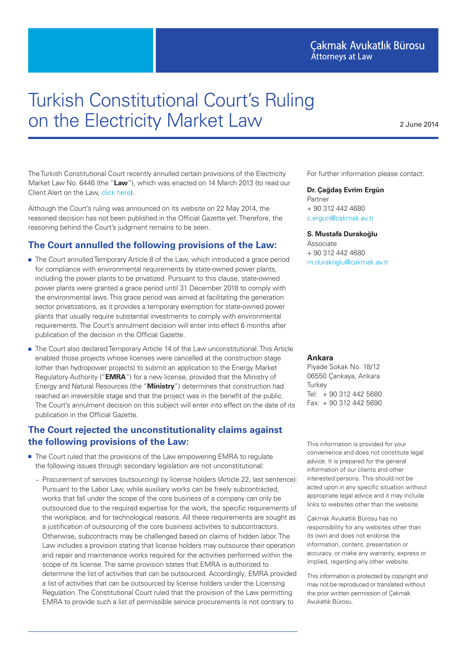## Cakmak Avukatlık Bürosu **Attorneys at Law**

# Turkish Constitutional Court's Ruling on the Electricity Market Law

2 June 2014

The Turkish Constitutional Court recently annulled certain provisions of the Electricity Market Law No. 6446 (the "**Law**"), which was enacted on 14 March 2013 (to read our Client Alert on the Law, [click here\)](http://www.cakmak.av.tr/articles/Power/The New Electricity Market Law.pdf).

Although the Court's ruling was announced on its website on 22 May 2014, the reasoned decision has not been published in the Official Gazette yet. Therefore, the reasoning behind the Court's judgment remains to be seen.

## **The Court annulled the following provisions of the Law:**

- The Court annulled Temporary Article 8 of the Law, which introduced a grace period for compliance with environmental requirements by state-owned power plants, including the power plants to be privatized. Pursuant to this clause, state-owned power plants were granted a grace period until 31 December 2018 to comply with the environmental laws. This grace period was aimed at facilitating the generation sector privatizations, as it provides a temporary exemption for state-owned power plants that usually require substantial investments to comply with environmental requirements. The Court's annulment decision will enter into effect 6 months after publication of the decision in the Official Gazette.
- The Court also declared Temporary Article 14 of the Law unconstitutional. This Article enabled those projects whose licenses were cancelled at the construction stage (other than hydropower projects) to submit an application to the Energy Market Regulatory Authority ("**EMRA**") for a new license, provided that the Ministry of Energy and Natural Resources (the "**Ministry**") determines that construction had reached an irreversible stage and that the project was in the benefit of the public. The Court's annulment decision on this subject will enter into effect on the date of its publication in the Official Gazette.

## **The Court rejected the unconstitutionality claims against the following provisions of the Law:**

- The Court ruled that the provisions of the Law empowering EMRA to regulate the following issues through secondary legislation are not unconstitutional:
	- **—** Procurement of services (outsourcing) by license holders (Article 22, last sentence): Pursuant to the Labor Law, while auxiliary works can be freely subcontracted, works that fall under the scope of the core business of a company can only be outsourced due to the required expertise for the work, the specific requirements of the workplace, and for technological reasons. All these requirements are sought as a justification of outsourcing of the core business activities to subcontractors. Otherwise, subcontracts may be challenged based on claims of hidden labor. The Law includes a provision stating that license holders may outsource their operation and repair and maintenance works required for the activities performed within the scope of its license. The same provision states that EMRA is authorized to determine the list of activities that can be outsourced. Accordingly, EMRA provided a list of activities that can be outsourced by license holders under the Licensing Regulation. The Constitutional Court ruled that the provision of the Law permitting EMRA to provide such a list of permissible service procurements is not contrary to

For further information please contact:

#### **Dr. Çağdaş Evrim Ergün**

Partner + 90 312 442 4680 <c.ergun@cakmak.av.tr>

**S. Mustafa Durakoğlu**

Associate + 90 312 442 4680 <m.durakoglu@cakmak.av.tr>

#### **Ankara**

Piyade Sokak No. 18/12 06550 Çankaya, Ankara **Turkey** Tel: + 90 312 442 5680 Fax: + 90 312 442 5690

This information is provided for your convenience and does not constitute legal advice. It is prepared for the general information of our clients and other interested persons. This should not be acted upon in any specific situation without appropriate legal advice and it may include links to websites other than the website.

Çakmak Avukatlık Bürosu has no responsibility for any websites other than its own and does not endorse the information, content, presentation or accuracy, or make any warranty, express or implied, regarding any other website.

This information is protected by copyright and may not be reproduced or translated without the prior written permission of Çakmak Avukatlık Bürosu.